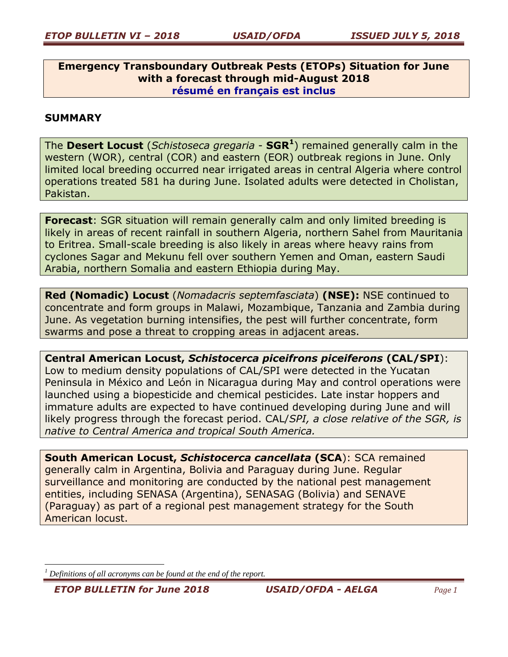**Emergency Transboundary Outbreak Pests (ETOPs) Situation for June with a forecast through mid-August 2018 résumé en français est inclus**

# **SUMMARY**

The **Desert Locust** (*Schistoseca gregaria* - **SGR<sup>1</sup>** ) remained generally calm in the western (WOR), central (COR) and eastern (EOR) outbreak regions in June. Only limited local breeding occurred near irrigated areas in central Algeria where control operations treated 581 ha during June. Isolated adults were detected in Cholistan, Pakistan.

**Forecast**: SGR situation will remain generally calm and only limited breeding is likely in areas of recent rainfall in southern Algeria, northern Sahel from Mauritania to Eritrea. Small-scale breeding is also likely in areas where heavy rains from cyclones Sagar and Mekunu fell over southern Yemen and Oman, eastern Saudi Arabia, northern Somalia and eastern Ethiopia during May.

**Red (Nomadic) Locust** (*Nomadacris septemfasciata*) **(NSE):** NSE continued to concentrate and form groups in Malawi, Mozambique, Tanzania and Zambia during June. As vegetation burning intensifies, the pest will further concentrate, form swarms and pose a threat to cropping areas in adjacent areas.

**Central American Locust,** *Schistocerca piceifrons piceiferons* **(CAL/SPI**): Low to medium density populations of CAL/SPI were detected in the Yucatan Peninsula in México and León in Nicaragua during May and control operations were launched using a biopesticide and chemical pesticides. Late instar hoppers and immature adults are expected to have continued developing during June and will likely progress through the forecast period. CAL/*SPI, a close relative of the SGR, is native to Central America and tropical South America.*

**South American Locust,** *Schistocerca cancellata* **(SCA**): SCA remained generally calm in Argentina, Bolivia and Paraguay during June. Regular surveillance and monitoring are conducted by the national pest management entities, including SENASA (Argentina), SENASAG (Bolivia) and SENAVE (Paraguay) as part of a regional pest management strategy for the South American locust.

*<sup>1</sup> Definitions of all acronyms can be found at the end of the report.*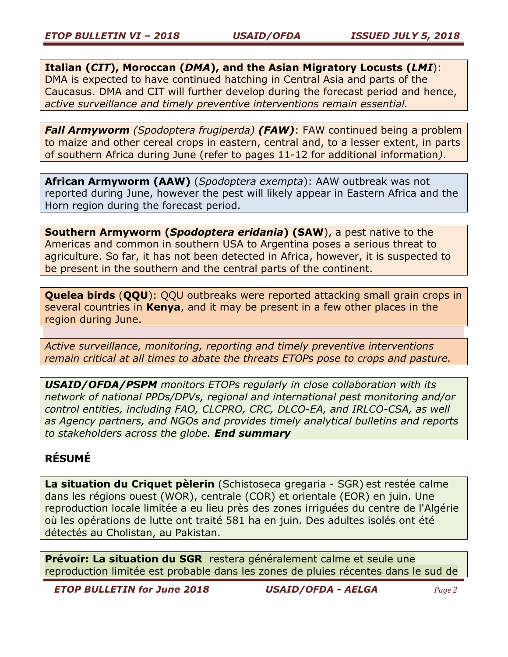**Italian (***CIT***), Moroccan (***DMA***), and the Asian Migratory Locusts (***LMI*): DMA is expected to have continued hatching in Central Asia and parts of the Caucasus. DMA and CIT will further develop during the forecast period and hence, *active surveillance and timely preventive interventions remain essential.*

*Fall Armyworm (Spodoptera frugiperda) (FAW)*: FAW continued being a problem to maize and other cereal crops in eastern, central and, to a lesser extent, in parts of southern Africa during June (refer to pages 11-12 for additional information*)*.

**African Armyworm (AAW)** (*Spodoptera exempta*): AAW outbreak was not reported during June, however the pest will likely appear in Eastern Africa and the Horn region during the forecast period.

**Southern Armyworm (***Spodoptera eridania***) (SAW**), a pest native to the Americas and common in southern USA to Argentina poses a serious threat to agriculture. So far, it has not been detected in Africa, however, it is suspected to be present in the southern and the central parts of the continent.

**Quelea birds** (**QQU**): QQU outbreaks were reported attacking small grain crops in several countries in **Kenya**, and it may be present in a few other places in the region during June.

*Active surveillance, monitoring, reporting and timely preventive interventions remain critical at all times to abate the threats ETOPs pose to crops and pasture.*

*USAID/OFDA/PSPM monitors ETOPs regularly in close collaboration with its network of national PPDs/DPVs, regional and international pest monitoring and/or control entities, including FAO, CLCPRO, CRC, DLCO-EA, and IRLCO-CSA, as well as Agency partners, and NGOs and provides timely analytical bulletins and reports to stakeholders across the globe. End summary*

# **RÉSUMÉ**

**La situation du Criquet pèlerin** (Schistoseca gregaria - SGR) est restée calme dans les régions ouest (WOR), centrale (COR) et orientale (EOR) en juin. Une reproduction locale limitée a eu lieu près des zones irriguées du centre de l'Algérie où les opérations de lutte ont traité 581 ha en juin. Des adultes isolés ont été détectés au Cholistan, au Pakistan.

**Prévoir: La situation du SGR** restera généralement calme et seule une reproduction limitée est probable dans les zones de pluies récentes dans le sud de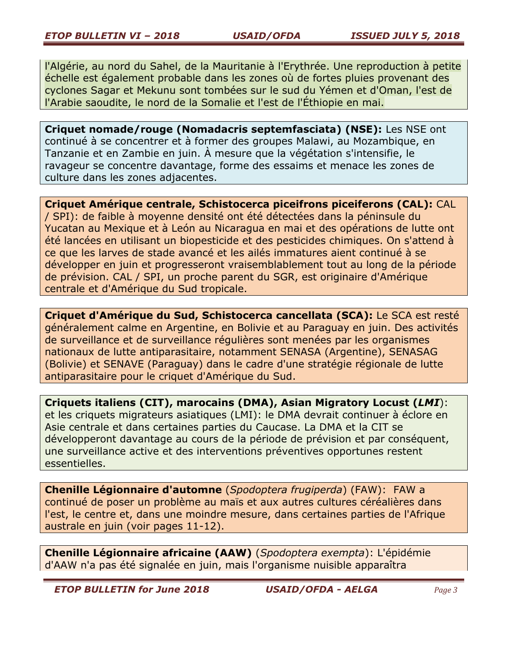l'Algérie, au nord du Sahel, de la Mauritanie à l'Erythrée. Une reproduction à petite échelle est également probable dans les zones où de fortes pluies provenant des cyclones Sagar et Mekunu sont tombées sur le sud du Yémen et d'Oman, l'est de l'Arabie saoudite, le nord de la Somalie et l'est de l'Éthiopie en mai.

**Criquet nomade/rouge (Nomadacris septemfasciata) (NSE):** Les NSE ont continué à se concentrer et à former des groupes Malawi, au Mozambique, en Tanzanie et en Zambie en juin. À mesure que la végétation s'intensifie, le ravageur se concentre davantage, forme des essaims et menace les zones de culture dans les zones adjacentes.

**Criquet Amérique centrale, Schistocerca piceifrons piceiferons (CAL):** CAL / SPI): de faible à moyenne densité ont été détectées dans la péninsule du Yucatan au Mexique et à León au Nicaragua en mai et des opérations de lutte ont été lancées en utilisant un biopesticide et des pesticides chimiques. On s'attend à ce que les larves de stade avancé et les ailés immatures aient continué à se développer en juin et progresseront vraisemblablement tout au long de la période de prévision. CAL / SPI, un proche parent du SGR, est originaire d'Amérique centrale et d'Amérique du Sud tropicale.

**Criquet d'Amérique du Sud, Schistocerca cancellata (SCA):** Le SCA est resté généralement calme en Argentine, en Bolivie et au Paraguay en juin. Des activités de surveillance et de surveillance régulières sont menées par les organismes nationaux de lutte antiparasitaire, notamment SENASA (Argentine), SENASAG (Bolivie) et SENAVE (Paraguay) dans le cadre d'une stratégie régionale de lutte antiparasitaire pour le criquet d'Amérique du Sud.

**Criquets italiens (CIT), marocains (DMA), Asian Migratory Locust (***LMI*): et les criquets migrateurs asiatiques (LMI): le DMA devrait continuer à éclore en Asie centrale et dans certaines parties du Caucase. La DMA et la CIT se développeront davantage au cours de la période de prévision et par conséquent, une surveillance active et des interventions préventives opportunes restent essentielles.

**Chenille Légionnaire d'automne** (*Spodoptera frugiperda*) (FAW): FAW a continué de poser un problème au maïs et aux autres cultures céréalières dans l'est, le centre et, dans une moindre mesure, dans certaines parties de l'Afrique australe en juin (voir pages 11-12).

**Chenille Légionnaire africaine (AAW)** (*Spodoptera exempta*): L'épidémie d'AAW n'a pas été signalée en juin, mais l'organisme nuisible apparaîtra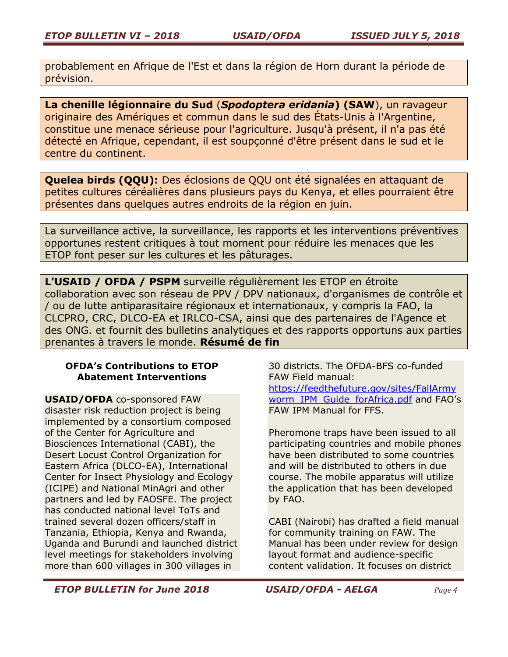probablement en Afrique de l'Est et dans la région de Horn durant la période de prévision.

**La chenille légionnaire du Sud** (*Spodoptera eridania***) (SAW**), un ravageur originaire des Amériques et commun dans le sud des États-Unis à l'Argentine, constitue une menace sérieuse pour l'agriculture. Jusqu'à présent, il n'a pas été détecté en Afrique, cependant, il est soupçonné d'être présent dans le sud et le centre du continent.

**Quelea birds (QQU):** Des éclosions de QQU ont été signalées en attaquant de petites cultures céréalières dans plusieurs pays du Kenya, et elles pourraient être présentes dans quelques autres endroits de la région en juin.

La surveillance active, la surveillance, les rapports et les interventions préventives opportunes restent critiques à tout moment pour réduire les menaces que les ETOP font peser sur les cultures et les pâturages.

**L'USAID / OFDA / PSPM** surveille régulièrement les ETOP en étroite collaboration avec son réseau de PPV / DPV nationaux, d'organismes de contrôle et / ou de lutte antiparasitaire régionaux et internationaux, y compris la FAO, la CLCPRO, CRC, DLCO-EA et IRLCO-CSA, ainsi que des partenaires de l'Agence et des ONG. et fournit des bulletins analytiques et des rapports opportuns aux parties prenantes à travers le monde. **Résumé de fin**

## **OFDA's Contributions to ETOP Abatement Interventions**

**USAID/OFDA** co-sponsored FAW disaster risk reduction project is being implemented by a consortium composed of the Center for Agriculture and Biosciences International (CABI), the Desert Locust Control Organization for Eastern Africa (DLCO-EA), International Center for Insect Physiology and Ecology (ICIPE) and National MinAgri and other partners and led by FAOSFE. The project has conducted national level ToTs and trained several dozen officers/staff in Tanzania, Ethiopia, Kenya and Rwanda, Uganda and Burundi and launched district level meetings for stakeholders involving more than 600 villages in 300 villages in

30 districts. The OFDA-BFS co-funded FAW Field manual: [https://feedthefuture.gov/sites/FallArmy](https://feedthefuture.gov/sites/FallArmyworm_IPM_Guide_forAfrica.pdf) [worm\\_IPM\\_Guide\\_forAfrica.pdf](https://feedthefuture.gov/sites/FallArmyworm_IPM_Guide_forAfrica.pdf) and FAO's FAW IPM Manual for FFS.

Pheromone traps have been issued to all participating countries and mobile phones have been distributed to some countries and will be distributed to others in due course. The mobile apparatus will utilize the application that has been developed by FAO.

CABI (Nairobi) has drafted a field manual for community training on FAW. The Manual has been under review for design layout format and audience-specific content validation. It focuses on district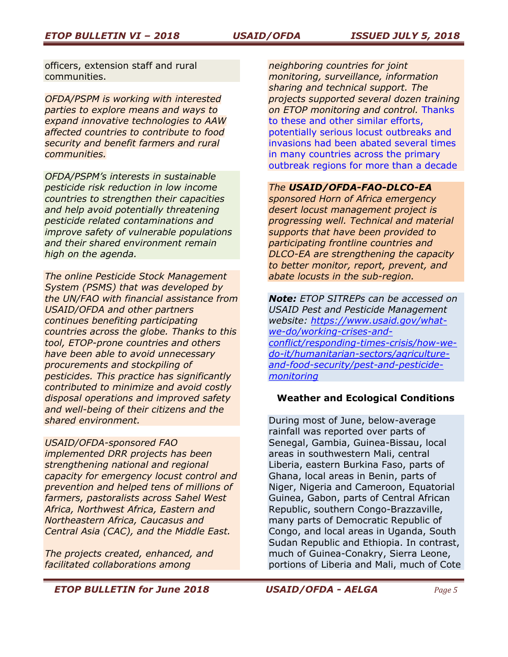officers, extension staff and rural communities.

*OFDA/PSPM is working with interested parties to explore means and ways to expand innovative technologies to AAW affected countries to contribute to food security and benefit farmers and rural communities.*

*OFDA/PSPM's interests in sustainable pesticide risk reduction in low income countries to strengthen their capacities and help avoid potentially threatening pesticide related contaminations and improve safety of vulnerable populations and their shared environment remain high on the agenda.* 

*The online Pesticide Stock Management System (PSMS) that was developed by the UN/FAO with financial assistance from USAID/OFDA and other partners continues benefiting participating countries across the globe. Thanks to this tool, ETOP-prone countries and others have been able to avoid unnecessary procurements and stockpiling of pesticides. This practice has significantly contributed to minimize and avoid costly disposal operations and improved safety and well-being of their citizens and the shared environment.*

# *USAID/OFDA-sponsored FAO*

*implemented DRR projects has been strengthening national and regional capacity for emergency locust control and prevention and helped tens of millions of farmers, pastoralists across Sahel West Africa, Northwest Africa, Eastern and Northeastern Africa, Caucasus and Central Asia (CAC), and the Middle East.* 

*The projects created, enhanced, and facilitated collaborations among* 

*neighboring countries for joint monitoring, surveillance, information sharing and technical support. The projects supported several dozen training on ETOP monitoring and control.* Thanks to these and other similar efforts, potentially serious locust outbreaks and invasions had been abated several times in many countries across the primary outbreak regions for more than a decade

#### *The USAID/OFDA-FAO-DLCO-EA*

*sponsored Horn of Africa emergency desert locust management project is progressing well. Technical and material supports that have been provided to participating frontline countries and DLCO-EA are strengthening the capacity to better monitor, report, prevent, and abate locusts in the sub-region.*

*Note: ETOP SITREPs can be accessed on USAID Pest and Pesticide Management website: [https://www.usaid.gov/what](https://www.usaid.gov/what-we-do/working-crises-and-conflict/responding-times-crisis/how-we-do-it/humanitarian-sectors/agriculture-and-food-security/pest-and-pesticide-monitoring)[we-do/working-crises-and](https://www.usaid.gov/what-we-do/working-crises-and-conflict/responding-times-crisis/how-we-do-it/humanitarian-sectors/agriculture-and-food-security/pest-and-pesticide-monitoring)[conflict/responding-times-crisis/how-we](https://www.usaid.gov/what-we-do/working-crises-and-conflict/responding-times-crisis/how-we-do-it/humanitarian-sectors/agriculture-and-food-security/pest-and-pesticide-monitoring)[do-it/humanitarian-sectors/agriculture](https://www.usaid.gov/what-we-do/working-crises-and-conflict/responding-times-crisis/how-we-do-it/humanitarian-sectors/agriculture-and-food-security/pest-and-pesticide-monitoring)[and-food-security/pest-and-pesticide](https://www.usaid.gov/what-we-do/working-crises-and-conflict/responding-times-crisis/how-we-do-it/humanitarian-sectors/agriculture-and-food-security/pest-and-pesticide-monitoring)[monitoring](https://www.usaid.gov/what-we-do/working-crises-and-conflict/responding-times-crisis/how-we-do-it/humanitarian-sectors/agriculture-and-food-security/pest-and-pesticide-monitoring)*

#### **Weather and Ecological Conditions**

During most of June, below-average rainfall was reported over parts of Senegal, Gambia, Guinea-Bissau, local areas in southwestern Mali, central Liberia, eastern Burkina Faso, parts of Ghana, local areas in Benin, parts of Niger, Nigeria and Cameroon, Equatorial Guinea, Gabon, parts of Central African Republic, southern Congo-Brazzaville, many parts of Democratic Republic of Congo, and local areas in Uganda, South Sudan Republic and Ethiopia. In contrast, much of Guinea-Conakry, Sierra Leone, portions of Liberia and Mali, much of Cote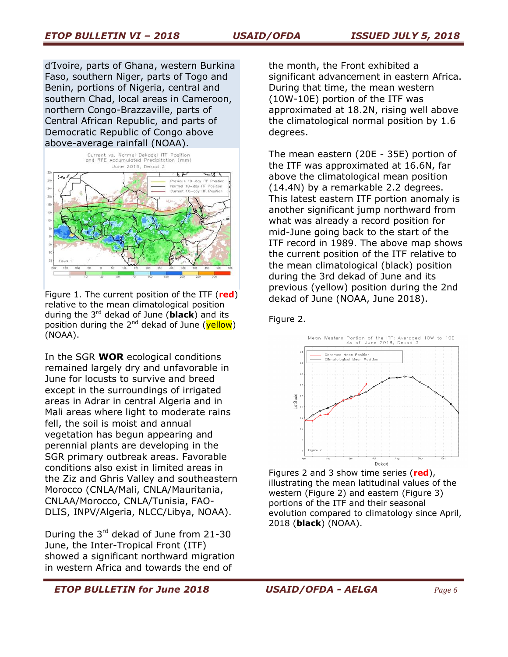d'Ivoire, parts of Ghana, western Burkina Faso, southern Niger, parts of Togo and Benin, portions of Nigeria, central and southern Chad, local areas in Cameroon, northern Congo-Brazzaville, parts of Central African Republic, and parts of Democratic Republic of Congo above above-average rainfall (NOAA).



Figure 1. The current position of the ITF (**red**) relative to the mean climatological position during the 3 rd dekad of June (**black**) and its position during the 2<sup>nd</sup> dekad of June (<mark>yellow</mark>) (NOAA).

In the SGR **WOR** ecological conditions remained largely dry and unfavorable in June for locusts to survive and breed except in the surroundings of irrigated areas in Adrar in central Algeria and in Mali areas where light to moderate rains fell, the soil is moist and annual vegetation has begun appearing and perennial plants are developing in the SGR primary outbreak areas. Favorable conditions also exist in limited areas in the Ziz and Ghris Valley and southeastern Morocco (CNLA/Mali, CNLA/Mauritania, CNLAA/Morocco, CNLA/Tunisia, FAO-DLIS, INPV/Algeria, NLCC/Libya, NOAA).

During the 3<sup>rd</sup> dekad of June from 21-30 June, the Inter-Tropical Front (ITF) showed a significant northward migration in western Africa and towards the end of

the month, the Front exhibited a significant advancement in eastern Africa. During that time, the mean western (10W-10E) portion of the ITF was approximated at 18.2N, rising well above the climatological normal position by 1.6 degrees.

The mean eastern (20E - 35E) portion of the ITF was approximated at 16.6N, far above the climatological mean position (14.4N) by a remarkable 2.2 degrees. This latest eastern ITF portion anomaly is another significant jump northward from what was already a record position for mid-June going back to the start of the ITF record in 1989. The above map shows the current position of the ITF relative to the mean climatological (black) position during the 3rd dekad of June and its previous (yellow) position during the 2nd dekad of June (NOAA, June 2018).

Figure 2.



Figures 2 and 3 show time series (**red**), illustrating the mean latitudinal values of the western (Figure 2) and eastern (Figure 3) portions of the ITF and their seasonal evolution compared to climatology since April, 2018 (**black**) (NOAA).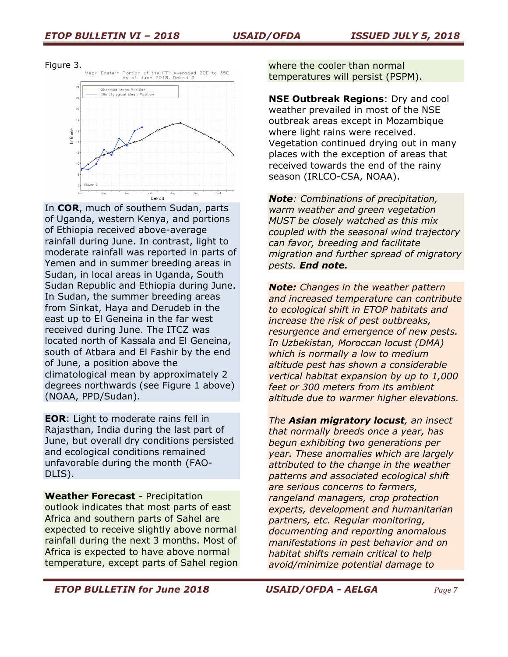Figure 3.



In **COR**, much of southern Sudan, parts of Uganda, western Kenya, and portions of Ethiopia received above-average rainfall during June. In contrast, light to moderate rainfall was reported in parts of Yemen and in summer breeding areas in Sudan, in local areas in Uganda, South Sudan Republic and Ethiopia during June. In Sudan, the summer breeding areas from Sinkat, Haya and Derudeb in the east up to El Geneina in the far west received during June. The ITCZ was located north of Kassala and El Geneina, south of Atbara and El Fashir by the end of June, a position above the climatological mean by approximately 2 degrees northwards (see Figure 1 above) (NOAA, PPD/Sudan).

**EOR**: Light to moderate rains fell in Rajasthan, India during the last part of June, but overall dry conditions persisted and ecological conditions remained unfavorable during the month (FAO-DLIS).

**Weather Forecast** - Precipitation outlook indicates that most parts of east Africa and southern parts of Sahel are expected to receive slightly above normal rainfall during the next 3 months. Most of Africa is expected to have above normal temperature, except parts of Sahel region

where the cooler than normal temperatures will persist (PSPM).

**NSE Outbreak Regions**: Dry and cool weather prevailed in most of the NSE outbreak areas except in Mozambique where light rains were received. Vegetation continued drying out in many places with the exception of areas that received towards the end of the rainy season (IRLCO-CSA, NOAA).

*Note: Combinations of precipitation, warm weather and green vegetation MUST be closely watched as this mix coupled with the seasonal wind trajectory can favor, breeding and facilitate migration and further spread of migratory pests. End note.*

*Note: Changes in the weather pattern and increased temperature can contribute to ecological shift in ETOP habitats and increase the risk of pest outbreaks, resurgence and emergence of new pests. In Uzbekistan, Moroccan locust (DMA) which is normally a low to medium altitude pest has shown a considerable vertical habitat expansion by up to 1,000 feet or 300 meters from its ambient altitude due to warmer higher elevations.* 

*The Asian migratory locust, an insect that normally breeds once a year, has begun exhibiting two generations per year. These anomalies which are largely attributed to the change in the weather patterns and associated ecological shift are serious concerns to farmers, rangeland managers, crop protection experts, development and humanitarian partners, etc. Regular monitoring, documenting and reporting anomalous manifestations in pest behavior and on habitat shifts remain critical to help avoid/minimize potential damage to*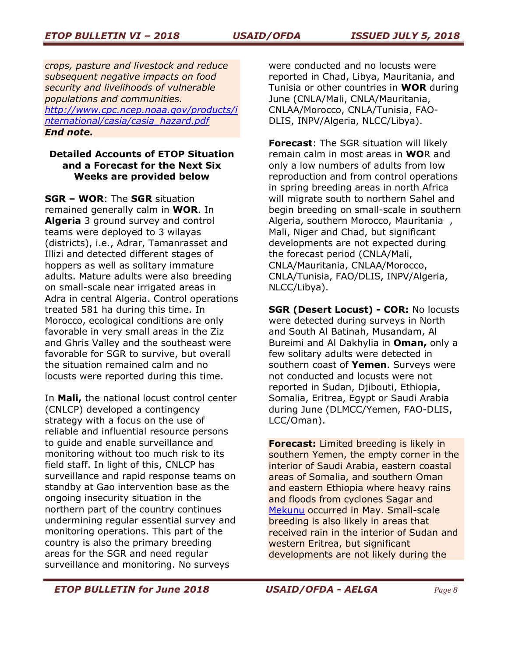*crops, pasture and livestock and reduce subsequent negative impacts on food security and livelihoods of vulnerable populations and communities. [http://www.cpc.ncep.noaa.gov/products/i](http://www.cpc.ncep.noaa.gov/products/international/casia/casia_hazard.pdf) [nternational/casia/casia\\_hazard.pdf](http://www.cpc.ncep.noaa.gov/products/international/casia/casia_hazard.pdf) End note.*

## **Detailed Accounts of ETOP Situation and a Forecast for the Next Six Weeks are provided below**

**SGR – WOR**: The **SGR** situation remained generally calm in **WOR**. In **Algeria** 3 ground survey and control teams were deployed to 3 wilayas (districts), i.e., Adrar, Tamanrasset and Illizi and detected different stages of hoppers as well as solitary immature adults. Mature adults were also breeding on small-scale near irrigated areas in Adra in central Algeria. Control operations treated 581 ha during this time. In Morocco, ecological conditions are only favorable in very small areas in the Ziz and Ghris Valley and the southeast were favorable for SGR to survive, but overall the situation remained calm and no locusts were reported during this time.

In **Mali,** the national locust control center (CNLCP) developed a contingency strategy with a focus on the use of reliable and influential resource persons to guide and enable surveillance and monitoring without too much risk to its field staff. In light of this, CNLCP has surveillance and rapid response teams on standby at Gao intervention base as the ongoing insecurity situation in the northern part of the country continues undermining regular essential survey and monitoring operations. This part of the country is also the primary breeding areas for the SGR and need regular surveillance and monitoring. No surveys

were conducted and no locusts were reported in Chad, Libya, Mauritania, and Tunisia or other countries in **WOR** during June (CNLA/Mali, CNLA/Mauritania, CNLAA/Morocco, CNLA/Tunisia, FAO-DLIS, INPV/Algeria, NLCC/Libya).

**Forecast**: The SGR situation will likely remain calm in most areas in **WO**R and only a low numbers of adults from low reproduction and from control operations in spring breeding areas in north Africa will migrate south to northern Sahel and begin breeding on small-scale in southern Algeria, southern Morocco, Mauritania , Mali, Niger and Chad, but significant developments are not expected during the forecast period (CNLA/Mali, CNLA/Mauritania, CNLAA/Morocco, CNLA/Tunisia, FAO/DLIS, INPV/Algeria, NLCC/Libya).

**SGR (Desert Locust) - COR:** No locusts were detected during surveys in North and South Al Batinah, Musandam, Al Bureimi and Al Dakhylia in **Oman,** only a few solitary adults were detected in southern coast of **Yemen**. Surveys were not conducted and locusts were not reported in Sudan, Djibouti, Ethiopia, Somalia, Eritrea, Egypt or Saudi Arabia during June (DLMCC/Yemen, FAO-DLIS, LCC/Oman).

**Forecast:** Limited breeding is likely in southern Yemen, the empty corner in the interior of Saudi Arabia, eastern coastal areas of Somalia, and southern Oman and eastern Ethiopia where heavy rains and floods from cyclones Sagar and [Mekunu](https://twitter.com/hashtag/Mekunu?src=hash) occurred in May. Small-scale breeding is also likely in areas that received rain in the interior of Sudan and western Eritrea, but significant developments are not likely during the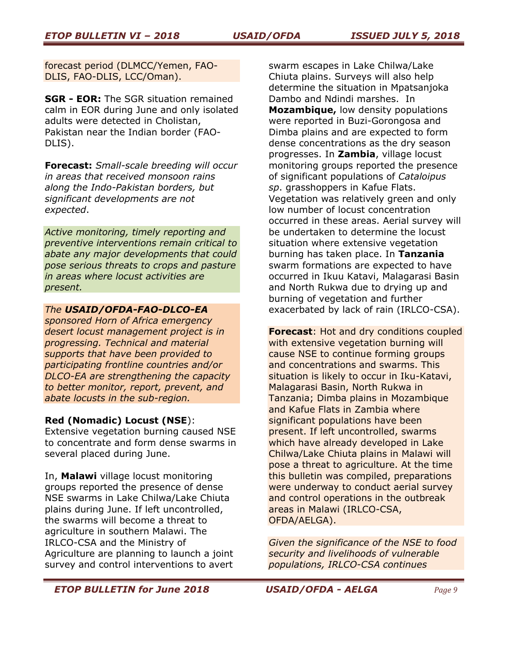forecast period (DLMCC/Yemen, FAO-DLIS, FAO-DLIS, LCC/Oman).

**SGR - EOR:** The SGR situation remained calm in EOR during June and only isolated adults were detected in Cholistan, Pakistan near the Indian border (FAO-DLIS).

**Forecast:** *Small-scale breeding will occur in areas that received monsoon rains along the Indo-Pakistan borders, but significant developments are not expected*.

*Active monitoring, timely reporting and preventive interventions remain critical to abate any major developments that could pose serious threats to crops and pasture in areas where locust activities are present.* 

### *The USAID/OFDA-FAO-DLCO-EA*

*sponsored Horn of Africa emergency desert locust management project is in progressing. Technical and material supports that have been provided to participating frontline countries and/or DLCO-EA are strengthening the capacity to better monitor, report, prevent, and abate locusts in the sub-region.*

# **Red (Nomadic) Locust (NSE**):

Extensive vegetation burning caused NSE to concentrate and form dense swarms in several placed during June.

In, **Malawi** village locust monitoring groups reported the presence of dense NSE swarms in Lake Chilwa/Lake Chiuta plains during June. If left uncontrolled, the swarms will become a threat to agriculture in southern Malawi. The IRLCO-CSA and the Ministry of Agriculture are planning to launch a joint survey and control interventions to avert

swarm escapes in Lake Chilwa/Lake Chiuta plains. Surveys will also help determine the situation in Mpatsanjoka Dambo and Ndindi marshes. In **Mozambique,** low density populations were reported in Buzi-Gorongosa and Dimba plains and are expected to form dense concentrations as the dry season progresses. In **Zambia**, village locust monitoring groups reported the presence of significant populations of *Cataloipus sp*. grasshoppers in Kafue Flats. Vegetation was relatively green and only low number of locust concentration occurred in these areas. Aerial survey will be undertaken to determine the locust situation where extensive vegetation burning has taken place. In **Tanzania** swarm formations are expected to have occurred in Ikuu Katavi, Malagarasi Basin and North Rukwa due to drying up and burning of vegetation and further exacerbated by lack of rain (IRLCO-CSA).

**Forecast**: Hot and dry conditions coupled with extensive vegetation burning will cause NSE to continue forming groups and concentrations and swarms. This situation is likely to occur in Iku-Katavi, Malagarasi Basin, North Rukwa in Tanzania; Dimba plains in Mozambique and Kafue Flats in Zambia where significant populations have been present. If left uncontrolled, swarms which have already developed in Lake Chilwa/Lake Chiuta plains in Malawi will pose a threat to agriculture. At the time this bulletin was compiled, preparations were underway to conduct aerial survey and control operations in the outbreak areas in Malawi (IRLCO-CSA, OFDA/AELGA).

*Given the significance of the NSE to food security and livelihoods of vulnerable populations, IRLCO-CSA continues*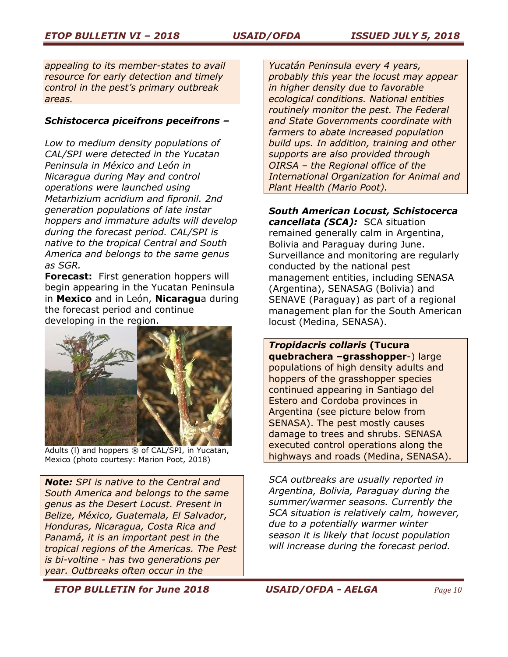*appealing to its member-states to avail resource for early detection and timely control in the pest's primary outbreak areas.* 

## *Schistocerca piceifrons peceifrons –*

*Low to medium density populations of CAL/SPI were detected in the Yucatan Peninsula in México and León in Nicaragua during May and control operations were launched using Metarhizium acridium and fipronil. 2nd generation populations of late instar hoppers and immature adults will develop during the forecast period. CAL/SPI is native to the tropical Central and South America and belongs to the same genus as SGR.*

**Forecast:** First generation hoppers will begin appearing in the Yucatan Peninsula in **Mexico** and in León, **Nicaragu**a during the forecast period and continue developing in the region.



Adults (I) and hoppers ® of CAL/SPI, in Yucatan, Mexico (photo courtesy: Marion Poot, 2018)

*Note: SPI is native to the Central and South America and belongs to the same genus as the Desert Locust. Present in Belize, México, Guatemala, El Salvador, Honduras, Nicaragua, Costa Rica and Panamá, it is an important pest in the tropical regions of the Americas. The Pest is bi-voltine - has two generations per year. Outbreaks often occur in the* 

*Yucatán Peninsula every 4 years, probably this year the locust may appear in higher density due to favorable ecological conditions. National entities routinely monitor the pest. The Federal and State Governments coordinate with farmers to abate increased population build ups. In addition, training and other supports are also provided through OIRSA – the Regional office of the International Organization for Animal and Plant Health (Mario Poot).* 

*South American Locust, Schistocerca cancellata (SCA):* SCA situation remained generally calm in Argentina, Bolivia and Paraguay during June. Surveillance and monitoring are regularly conducted by the national pest management entities, including SENASA (Argentina), SENASAG (Bolivia) and SENAVE (Paraguay) as part of a regional management plan for the South American locust (Medina, SENASA).

*Tropidacris collaris* **(Tucura quebrachera –grasshopper**-) large populations of high density adults and hoppers of the grasshopper species continued appearing in Santiago del Estero and Cordoba provinces in Argentina (see picture below from SENASA). The pest mostly causes damage to trees and shrubs. SENASA executed control operations along the highways and roads (Medina, SENASA).

*SCA outbreaks are usually reported in Argentina, Bolivia, Paraguay during the summer/warmer seasons. Currently the SCA situation is relatively calm, however, due to a potentially warmer winter season it is likely that locust population will increase during the forecast period.*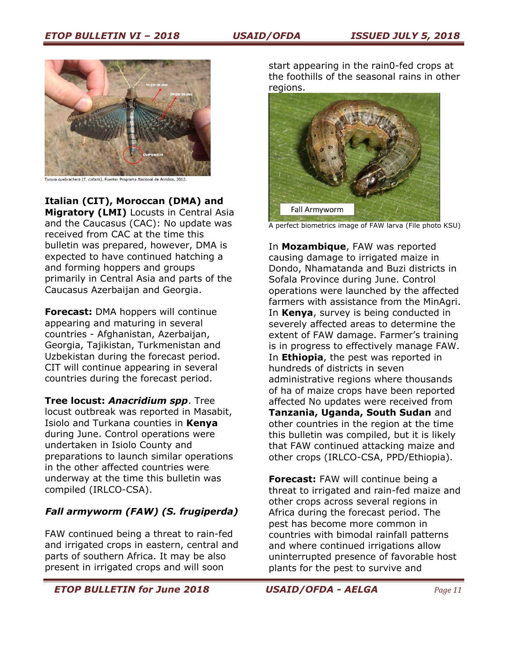

cura quebrachera (*T. collaris*). Fuente: Programa Nacional <mark>d</mark>e Acridios, 2012

**Italian (CIT), Moroccan (DMA) and** 

**Migratory (LMI)** Locusts in Central Asia and the Caucasus (CAC): No update was received from CAC at the time this bulletin was prepared, however, DMA is expected to have continued hatching a and forming hoppers and groups primarily in Central Asia and parts of the Caucasus Azerbaijan and Georgia.

**Forecast:** DMA hoppers will continue appearing and maturing in several countries - Afghanistan, Azerbaijan, Georgia, Tajikistan, Turkmenistan and Uzbekistan during the forecast period. CIT will continue appearing in several countries during the forecast period.

**Tree locust:** *Anacridium spp*. Tree locust outbreak was reported in Masabit, Isiolo and Turkana counties in **Kenya** during June. Control operations were undertaken in Isiolo County and preparations to launch similar operations in the other affected countries were underway at the time this bulletin was compiled (IRLCO-CSA).

# *Fall armyworm (FAW) (S. frugiperda)*

FAW continued being a threat to rain-fed and irrigated crops in eastern, central and parts of southern Africa. It may be also present in irrigated crops and will soon

start appearing in the rain0-fed crops at the foothills of the seasonal rains in other regions.



A perfect biometrics image of FAW larva (File photo KSU)

In **Mozambique**, FAW was reported causing damage to irrigated maize in Dondo, Nhamatanda and Buzi districts in Sofala Province during June. Control operations were launched by the affected farmers with assistance from the MinAgri. In **Kenya**, survey is being conducted in severely affected areas to determine the extent of FAW damage. Farmer's training is in progress to effectively manage FAW. In **Ethiopia**, the pest was reported in hundreds of districts in seven administrative regions where thousands of ha of maize crops have been reported affected No updates were received from **Tanzania, Uganda, South Sudan** and other countries in the region at the time this bulletin was compiled, but it is likely that FAW continued attacking maize and other crops (IRLCO-CSA, PPD/Ethiopia).

**Forecast:** FAW will continue being a threat to irrigated and rain-fed maize and other crops across several regions in Africa during the forecast period. The pest has become more common in countries with bimodal rainfall patterns and where continued irrigations allow uninterrupted presence of favorable host plants for the pest to survive and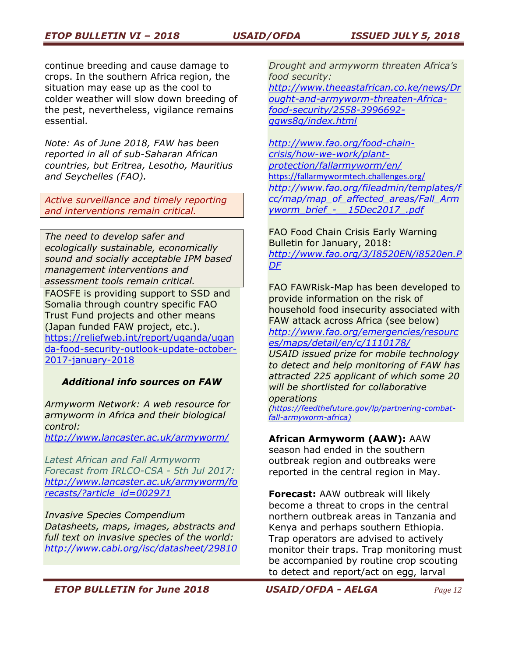continue breeding and cause damage to crops. In the southern Africa region, the situation may ease up as the cool to colder weather will slow down breeding of the pest, nevertheless, vigilance remains essential*.*

*Note: As of June 2018, FAW has been reported in all of sub-Saharan African countries, but Eritrea, Lesotho, Mauritius and Seychelles (FAO).*

*Active surveillance and timely reporting and interventions remain critical.*

*The need to develop safer and ecologically sustainable, economically sound and socially acceptable IPM based management interventions and assessment tools remain critical.*

FAOSFE is providing support to SSD and Somalia through country specific FAO Trust Fund projects and other means (Japan funded FAW project, etc.). [https://reliefweb.int/report/uganda/ugan](https://reliefweb.int/report/uganda/uganda-food-security-outlook-update-october-2017-january-2018) [da-food-security-outlook-update-october-](https://reliefweb.int/report/uganda/uganda-food-security-outlook-update-october-2017-january-2018)[2017-january-2018](https://reliefweb.int/report/uganda/uganda-food-security-outlook-update-october-2017-january-2018)

# *Additional info sources on FAW*

*Armyworm Network: A web resource for armyworm in Africa and their biological control:* 

*<http://www.lancaster.ac.uk/armyworm/>*

*Latest African and Fall Armyworm Forecast from IRLCO-CSA - 5th Jul 2017: [http://www.lancaster.ac.uk/armyworm/fo](http://www.lancaster.ac.uk/armyworm/forecasts/?article_id=002971) [recasts/?article\\_id=002971](http://www.lancaster.ac.uk/armyworm/forecasts/?article_id=002971)*

*Invasive Species Compendium Datasheets, maps, images, abstracts and full text on invasive species of the world: <http://www.cabi.org/isc/datasheet/29810>* *Drought and armyworm threaten Africa's food security: [http://www.theeastafrican.co.ke/news/Dr](http://www.theeastafrican.co.ke/news/Drought-and-armyworm-threaten-Africa-food-security/2558-3996692-ggws8q/index.html) [ought-and-armyworm-threaten-Africa](http://www.theeastafrican.co.ke/news/Drought-and-armyworm-threaten-Africa-food-security/2558-3996692-ggws8q/index.html)[food-security/2558-3996692](http://www.theeastafrican.co.ke/news/Drought-and-armyworm-threaten-Africa-food-security/2558-3996692-ggws8q/index.html) [ggws8q/index.html](http://www.theeastafrican.co.ke/news/Drought-and-armyworm-threaten-Africa-food-security/2558-3996692-ggws8q/index.html)*

*[http://www.fao.org/food-chain](http://www.fao.org/food-chain-crisis/how-we-work/plant-protection/fallarmyworm/en/)[crisis/how-we-work/plant](http://www.fao.org/food-chain-crisis/how-we-work/plant-protection/fallarmyworm/en/)[protection/fallarmyworm/en/](http://www.fao.org/food-chain-crisis/how-we-work/plant-protection/fallarmyworm/en/)* <https://fallarmywormtech.challenges.org/> *[http://www.fao.org/fileadmin/templates/f](http://www.fao.org/fileadmin/templates/fcc/map/map_of_affected_areas/Fall_Armyworm_brief_-__15Dec2017_.pdf) [cc/map/map\\_of\\_affected\\_areas/Fall\\_Arm](http://www.fao.org/fileadmin/templates/fcc/map/map_of_affected_areas/Fall_Armyworm_brief_-__15Dec2017_.pdf) [yworm\\_brief\\_-\\_\\_15Dec2017\\_.pdf](http://www.fao.org/fileadmin/templates/fcc/map/map_of_affected_areas/Fall_Armyworm_brief_-__15Dec2017_.pdf)*

FAO Food Chain Crisis Early Warning Bulletin for January, 2018: *[http://www.fao.org/3/I8520EN/i8520en.P](http://www.fao.org/3/I8520EN/i8520en.PDF) [DF](http://www.fao.org/3/I8520EN/i8520en.PDF)*

FAO FAWRisk-Map has been developed to provide information on the risk of household food insecurity associated with FAW attack across Africa (see below) *[http://www.fao.org/emergencies/resourc](http://www.fao.org/emergencies/resources/maps/detail/en/c/1110178/)*

*[es/maps/detail/en/c/1110178/](http://www.fao.org/emergencies/resources/maps/detail/en/c/1110178/)*

*USAID issued prize for mobile technology to detect and help monitoring of FAW has attracted 225 applicant of which some 20 will be shortlisted for collaborative operations* 

*[\(https://feedthefuture.gov/lp/partnering-combat](https://feedthefuture.gov/lp/partnering-combat-fall-armyworm-africa)[fall-armyworm-africa\)](https://feedthefuture.gov/lp/partnering-combat-fall-armyworm-africa)*

### **African Armyworm (AAW):** AAW

season had ended in the southern outbreak region and outbreaks were reported in the central region in May.

**Forecast:** AAW outbreak will likely become a threat to crops in the central northern outbreak areas in Tanzania and Kenya and perhaps southern Ethiopia. Trap operators are advised to actively monitor their traps. Trap monitoring must be accompanied by routine crop scouting to detect and report/act on egg, larval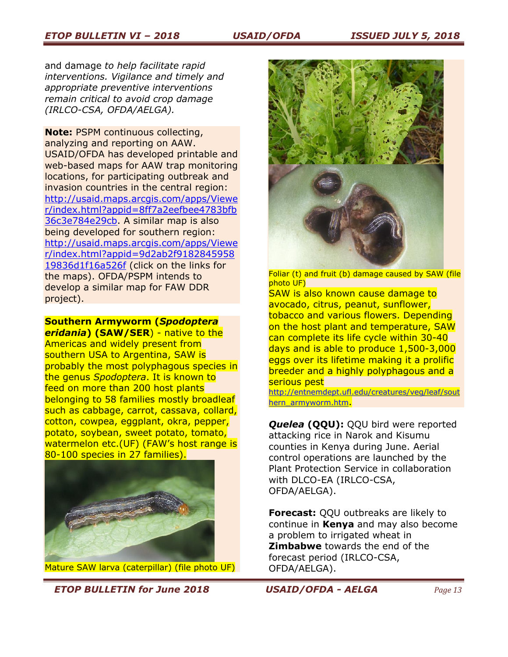and damage *to help facilitate rapid interventions. Vigilance and timely and appropriate preventive interventions remain critical to avoid crop damage (IRLCO-CSA, OFDA/AELGA).*

**Note:** PSPM continuous collecting, analyzing and reporting on AAW. USAID/OFDA has developed printable and web-based maps for AAW trap monitoring locations, for participating outbreak and invasion countries in the central region: [http://usaid.maps.arcgis.com/apps/Viewe](http://usaid.maps.arcgis.com/apps/Viewer/index.html?appid=8ff7a2eefbee4783bfb36c3e784e29cb) [r/index.html?appid=8ff7a2eefbee4783bfb](http://usaid.maps.arcgis.com/apps/Viewer/index.html?appid=8ff7a2eefbee4783bfb36c3e784e29cb) [36c3e784e29cb.](http://usaid.maps.arcgis.com/apps/Viewer/index.html?appid=8ff7a2eefbee4783bfb36c3e784e29cb) A similar map is also being developed for southern region: [http://usaid.maps.arcgis.com/apps/Viewe](http://usaid.maps.arcgis.com/apps/Viewer/index.html?appid=9d2ab2f918284595819836d1f16a526f) [r/index.html?appid=9d2ab2f9182845958](http://usaid.maps.arcgis.com/apps/Viewer/index.html?appid=9d2ab2f918284595819836d1f16a526f) [19836d1f16a526f](http://usaid.maps.arcgis.com/apps/Viewer/index.html?appid=9d2ab2f918284595819836d1f16a526f) (click on the links for the maps). OFDA/PSPM intends to develop a similar map for FAW DDR project).

**Southern Armyworm (***Spodoptera* 

*eridania***) (SAW/SER**) - native to the Americas and widely present from southern USA to Argentina, SAW is probably the most polyphagous species in the genus *Spodoptera*. It is known to feed on more than 200 host plants belonging to 58 families mostly broadleaf such as cabbage, carrot, cassava, collard, cotton, cowpea, eggplant, okra, pepper, potato, soybean, sweet potato, tomato, watermelon etc.(UF) (FAW's host range is 80-100 species in 27 families).



Mature SAW larva (caterpillar) (file photo UF)



Foliar (t) and fruit (b) damage caused by SAW (file photo UF)

SAW is also known cause damage to avocado, citrus, peanut, sunflower, tobacco and various flowers. Depending on the host plant and temperature, SAW can complete its life cycle within 30-40 days and is able to produce 1,500-3,000 eggs over its lifetime making it a prolific breeder and a highly polyphagous and a serious pest

[http://entnemdept.ufl.edu/creatures/veg/leaf/sout](http://entnemdept.ufl.edu/creatures/veg/leaf/southern_armyworm.htm) [hern\\_armyworm.htm](http://entnemdept.ufl.edu/creatures/veg/leaf/southern_armyworm.htm).

*Quelea* **(QQU):** QQU bird were reported attacking rice in Narok and Kisumu counties in Kenya during June. Aerial control operations are launched by the Plant Protection Service in collaboration with DLCO-EA (IRLCO-CSA, OFDA/AELGA).

**Forecast:** QQU outbreaks are likely to continue in **Kenya** and may also become a problem to irrigated wheat in **Zimbabwe** towards the end of the forecast period (IRLCO-CSA, OFDA/AELGA).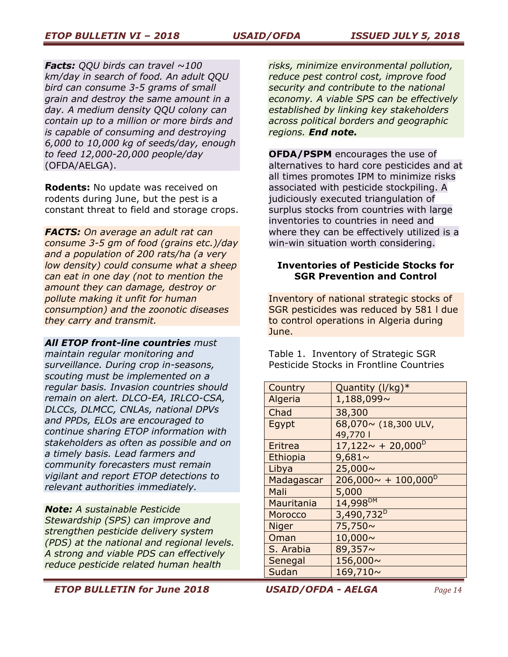#### *ETOP BULLETIN VI – 2018 USAID/OFDA ISSUED JULY 5, 2018*

*Facts: QQU birds can travel ~100 km/day in search of food. An adult QQU bird can consume 3-5 grams of small grain and destroy the same amount in a day. A medium density QQU colony can contain up to a million or more birds and is capable of consuming and destroying 6,000 to 10,000 kg of seeds/day, enough to feed 12,000-20,000 people/day* (OFDA/AELGA).

**Rodents:** No update was received on rodents during June, but the pest is a constant threat to field and storage crops.

*FACTS: On average an adult rat can consume 3-5 gm of food (grains etc.)/day and a population of 200 rats/ha (a very low density) could consume what a sheep can eat in one day (not to mention the amount they can damage, destroy or pollute making it unfit for human consumption) and the zoonotic diseases they carry and transmit.*

*All ETOP front-line countries must maintain regular monitoring and surveillance. During crop in-seasons, scouting must be implemented on a regular basis. Invasion countries should remain on alert. DLCO-EA, IRLCO-CSA, DLCCs, DLMCC, CNLAs, national DPVs and PPDs, ELOs are encouraged to continue sharing ETOP information with stakeholders as often as possible and on a timely basis. Lead farmers and community forecasters must remain vigilant and report ETOP detections to relevant authorities immediately.* 

*Note: A sustainable Pesticide Stewardship (SPS) can improve and strengthen pesticide delivery system (PDS) at the national and regional levels. A strong and viable PDS can effectively reduce pesticide related human health* 

*risks, minimize environmental pollution, reduce pest control cost, improve food security and contribute to the national economy. A viable SPS can be effectively established by linking key stakeholders across political borders and geographic regions. End note.*

**OFDA/PSPM** encourages the use of alternatives to hard core pesticides and at all times promotes IPM to minimize risks associated with pesticide stockpiling. A judiciously executed triangulation of surplus stocks from countries with large inventories to countries in need and where they can be effectively utilized is a win-win situation worth considering.

#### **Inventories of Pesticide Stocks for SGR Prevention and Control**

Inventory of national strategic stocks of SGR pesticides was reduced by 581 l due to control operations in Algeria during June.

Table 1. Inventory of Strategic SGR Pesticide Stocks in Frontline Countries

| Country      | Quantity (I/kg)*                      |
|--------------|---------------------------------------|
| Algeria      | 1,188,099~                            |
| Chad         | 38,300                                |
| Egypt        | 68,070~ (18,300 ULV,                  |
|              | 49,770                                |
| Eritrea      | $17,122 \sim +20,000^{\circ}$         |
| Ethiopia     | $9,681\sim$                           |
| Libya        | 25,000~                               |
| Madagascar   | $206,000 \sim + 100,000$ <sup>D</sup> |
| Mali         | 5,000                                 |
| Mauritania   | 14,998 <sup>DM</sup>                  |
| Morocco      | 3,490,732 <sup>D</sup>                |
| <b>Niger</b> | 75,750~                               |
| Oman         | 10,000~                               |
| S. Arabia    | 89,357~                               |
| Senegal      | 156,000~                              |
| Sudan        | 169,710~                              |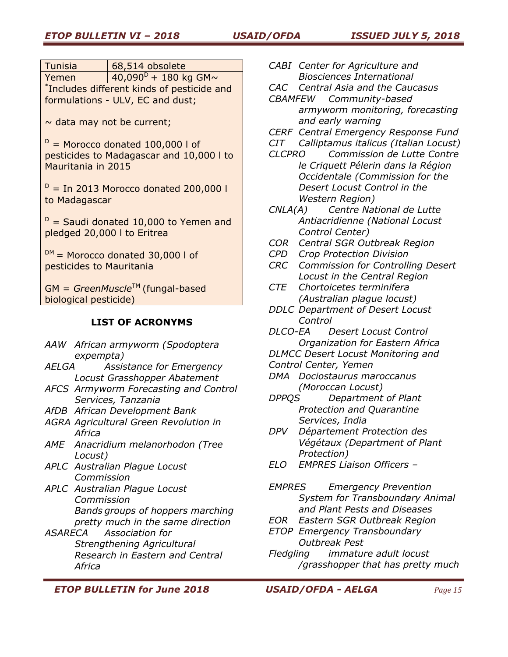| Tunisia                                    | $\sqrt{68,514}$ obsolete   |
|--------------------------------------------|----------------------------|
| Yemen                                      | $140,090^{D} + 180$ kg GM~ |
| *Includes different kinds of pesticide and |                            |
| formulations - ULV, EC and dust;           |                            |
|                                            |                            |

 $\sim$  data may not be current;

 $D =$  Morocco donated 100,000 l of pesticides to Madagascar and 10,000 l to Mauritania in 2015

 $D =$  In 2013 Morocco donated 200,000 l to Madagascar

 $D =$  Saudi donated 10,000 to Yemen and pledged 20,000 l to Eritrea

 $DM =$  Morocco donated 30,000 l of pesticides to Mauritania

GM = *GreenMuscle*TM (fungal-based biological pesticide)

# **LIST OF ACRONYMS**

- *AAW African armyworm (Spodoptera expempta)*
- *AELGA Assistance for Emergency Locust Grasshopper Abatement*
- *AFCS Armyworm Forecasting and Control Services, Tanzania*
- *AfDB African Development Bank*
- *AGRA Agricultural Green Revolution in Africa*
- *AME Anacridium melanorhodon (Tree Locust)*
- *APLC Australian Plague Locust Commission*
- *APLC Australian Plague Locust Commission Bands groups of hoppers marching pretty much in the same direction*
- *ASARECA Association for Strengthening Agricultural Research in Eastern and Central Africa*
- *CABI Center for Agriculture and Biosciences International*
- *CAC Central Asia and the Caucasus*
- *CBAMFEW Community-based armyworm monitoring, forecasting and early warning*
- *CERF Central Emergency Response Fund*
- *CIT Calliptamus italicus (Italian Locust)*
- *CLCPRO Commission de Lutte Contre le Criquett Pélerin dans la Région Occidentale (Commission for the Desert Locust Control in the Western Region)*
- *CNLA(A) Centre National de Lutte Antiacridienne (National Locust Control Center)*
- *COR Central SGR Outbreak Region*
- *CPD Crop Protection Division*
- *CRC Commission for Controlling Desert Locust in the Central Region*
- *CTE Chortoicetes terminifera (Australian plague locust)*
- *DDLC Department of Desert Locust Control*
- *DLCO-EA Desert Locust Control Organization for Eastern Africa*
- *DLMCC Desert Locust Monitoring and*
- *Control Center, Yemen*
- *DMA Dociostaurus maroccanus (Moroccan Locust)*
- *DPPQS Department of Plant Protection and Quarantine Services, India*
- *DPV Département Protection des Végétaux (Department of Plant Protection)*
- *ELO EMPRES Liaison Officers –*

*EMPRES Emergency Prevention System for Transboundary Animal and Plant Pests and Diseases*

- *EOR Eastern SGR Outbreak Region*
- *ETOP Emergency Transboundary Outbreak Pest*
- *Fledgling immature adult locust /grasshopper that has pretty much*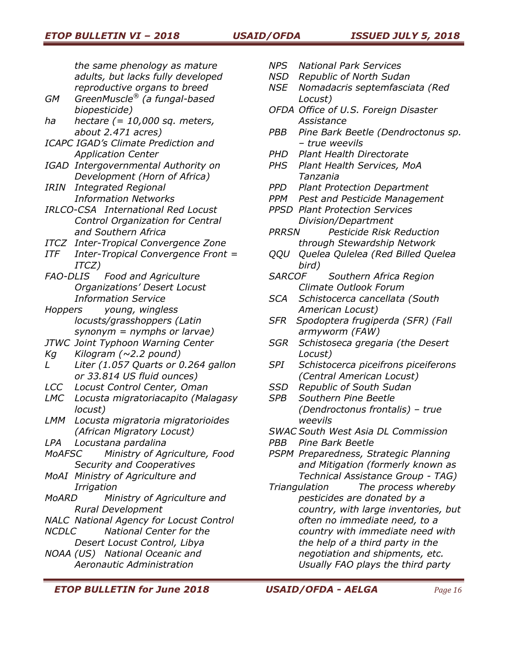*the same phenology as mature adults, but lacks fully developed reproductive organs to breed* 

- *GM GreenMuscle® (a fungal-based biopesticide)*
- *ha hectare (= 10,000 sq. meters, about 2.471 acres)*
- *ICAPC IGAD's Climate Prediction and Application Center*
- *IGAD Intergovernmental Authority on Development (Horn of Africa)*
- *IRIN Integrated Regional Information Networks*
- *IRLCO-CSA International Red Locust Control Organization for Central and Southern Africa*
- *ITCZ Inter-Tropical Convergence Zone*
- *ITF Inter-Tropical Convergence Front = ITCZ)*
- *FAO-DLIS Food and Agriculture Organizations' Desert Locust Information Service*
- *Hoppers young, wingless locusts/grasshoppers (Latin synonym = nymphs or larvae)*
- *JTWC Joint Typhoon Warning Center*
- *Kg Kilogram (~2.2 pound)*
- *L Liter (1.057 Quarts or 0.264 gallon or 33.814 US fluid ounces)*
- *LCC Locust Control Center, Oman*
- *LMC Locusta migratoriacapito (Malagasy locust)*
- *LMM Locusta migratoria migratorioides (African Migratory Locust)*
- *LPA Locustana pardalina*
- *MoAFSC Ministry of Agriculture, Food Security and Cooperatives*
- *MoAI Ministry of Agriculture and Irrigation*
- *MoARD Ministry of Agriculture and Rural Development*
- *NALC National Agency for Locust Control*
- *NCDLC National Center for the Desert Locust Control, Libya*
- *NOAA (US) National Oceanic and Aeronautic Administration*
- *NPS National Park Services*
- *NSD Republic of North Sudan*
- *NSE Nomadacris septemfasciata (Red Locust)*
- *OFDA Office of U.S. Foreign Disaster Assistance*
- *PBB Pine Bark Beetle (Dendroctonus sp. – true weevils*
- *PHD Plant Health Directorate*
- *PHS Plant Health Services, MoA Tanzania*
- *PPD Plant Protection Department*
- *PPM Pest and Pesticide Management*
- *PPSD Plant Protection Services Division/Department*
- *PRRSN Pesticide Risk Reduction through Stewardship Network*
- *QQU Quelea Qulelea (Red Billed Quelea bird)*
- *SARCOF Southern Africa Region Climate Outlook Forum*
- *SCA Schistocerca cancellata (South American Locust)*
- *SFR Spodoptera frugiperda (SFR) (Fall armyworm (FAW)*
- *SGR Schistoseca gregaria (the Desert Locust)*
- *SPI Schistocerca piceifrons piceiferons (Central American Locust)*
- *SSD Republic of South Sudan*
- *SPB Southern Pine Beetle (Dendroctonus frontalis) – true weevils*
- *SWAC South West Asia DL Commission*
- *PBB Pine Bark Beetle*
- *PSPM Preparedness, Strategic Planning and Mitigation (formerly known as Technical Assistance Group - TAG)*
- *Triangulation The process whereby pesticides are donated by a country, with large inventories, but often no immediate need, to a country with immediate need with the help of a third party in the negotiation and shipments, etc. Usually FAO plays the third party*